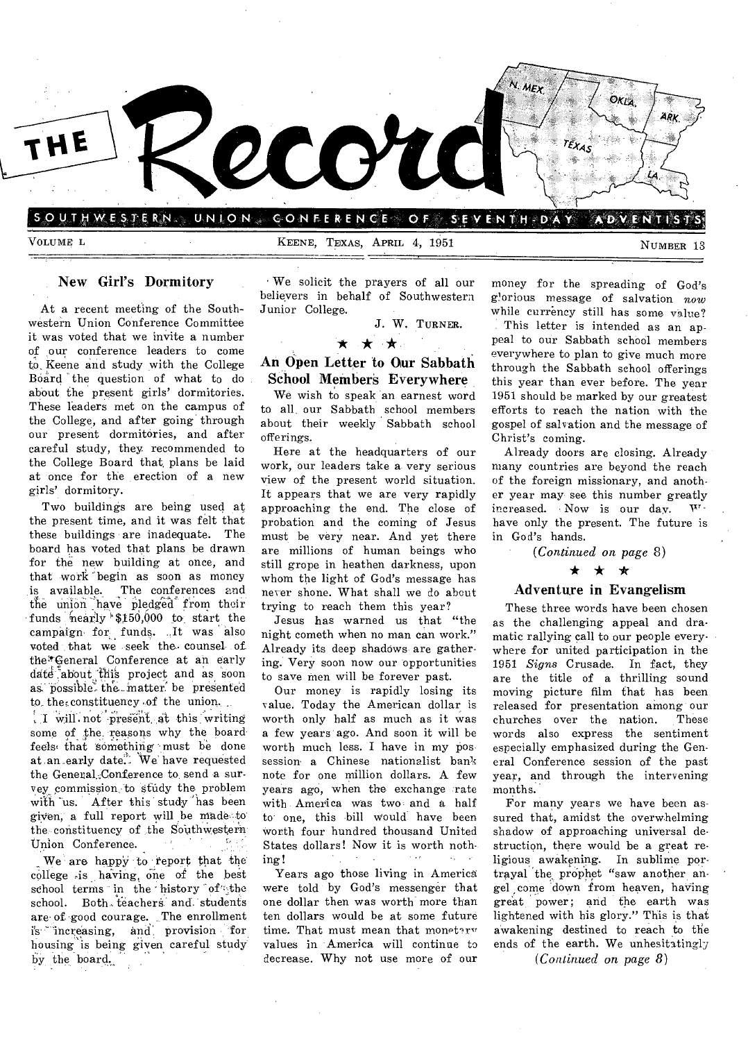

SOUTHWESTERN. UNION CONFERENCE OF SEVENTH-DAY ADVENTIS

VOLUME L<br>
VOLUME L<br>
NUMBER 13

### New Girl's Dormitory

At a recent meeting of the Southwestern Union Conference Committee it was voted that we invite a number of our conference leaders to come to, Keene and study with the College Board the question of what to do about the present girls' dormitories. These leaders met on the campus of the College, and after going' through our present dormitories, and after careful study, they. recommended to the College Board that, plans be laid at once for the erection of a new girls' dormitory.

Two buildings are being used at the present time, and it was felt that these buildings are inadequate. The board has voted that plans be drawn for the new building at once, and that work begin as soon as money is available. The conferences and the union have pledged from their funds hearly  $$150,000$  to start the campaign- for funds. .,It was also voted that we seek the counsel of the "'General Conference at an early date about this project and as soon as possible the matter be presented to the constituency of the union.

 $\left($  I will not present at this writing some of the reasons why the board feels that something must be done at an early date. We have requested the General.Conference to send a suryey, commission: to study the, problem with 'us. After this study 'has been given, a full report will be made-to the constituency of the Southwestern Union Conference.

We are happy to report that the college is having one of the best school terms in the history of the school. Both teachers and students are of good courage. The enrollment is• 'increasing, and', provision for housing is being given careful study by the board.

We solicit the prayers of all our believers in behalf of Southwestern Junior College.

J. W. TURNER.

### \* \* \*

### An Open Letter to Our Sabbath School Member§ Everywhere

We wish to speak an earnest word to all our Sabbath school members about their weekly Sabbath school offerings.

Here at the headquarters of our work, our leaders take a very serious view of the present world situation. It appears that we are very rapidly approaching the end. The close of probation and the coming of Jesus must be very near. And yet there are millions of human beings who still grope in heathen darkness, upon whom the light of God's message has never shone. What shall we do about trying to reach them this year?

Jesus has warned us that "the night cometh when no man can work." Already its deep shadows are gathering. Very soon now our opportunities to save men will be forever past.

Our money is rapidly losing its value. Today the American dollar is worth only half as much as it was a few years ago. And soon it will be worth much less. I have in my possession a Chinese nationalist bank note for one million dollars. A few years ago, when the exchange rate with America was two and a half to one, this bill would have been worth four hundred thousand United States dollars! Now it is worth nothing!

Years ago those living in America were told by God's messenger that one dollar then was worth more than ten dollars would be at some future time. That must mean that monetary values in America will continue to decrease. Why not use more of our

money for the spreading of God's glorious message of salvation now while currency still has some value? This letter is intended as an appeal to our Sabbath school members everywhere to plan to give much more through the Sabbath school offerings this year than ever before. The year 1951 should be marked by our greatest efforts to reach the nation with the gospel of salvation and the message of Christ's coming.

Already doors are closing. Already many countries are beyond the reach of the foreign missionary, and another year may see this number greatly increased. Now is our day.  $W^{\dagger}$ have only the present. The future is in God's hands.

*(Continued on page* 8)

### \* \* \*

### Adventure in Evangelism

These three words have been chosen as the challenging appeal and dramatic rallying call to our people everywhere for united participation in the 1951 *Signs* Crusade. In fact, they are the title of a thrilling sound moving picture film that has been released for presentation among our churches over the nation. These words also express the sentiment especially emphasized during the General Conference session of the past year, and through the intervening months.

For many years we have been assured that, amidst the overwhelming shadow of approaching universal destruction, there would be a great religious awakening. In sublime portrayal the prophet "saw another angel come down from heaven, having great power; and the earth was lightened with his glory." This is that awakening destined to reach to the ends of the earth. We unhesitatingly

*(Continued on page 8)*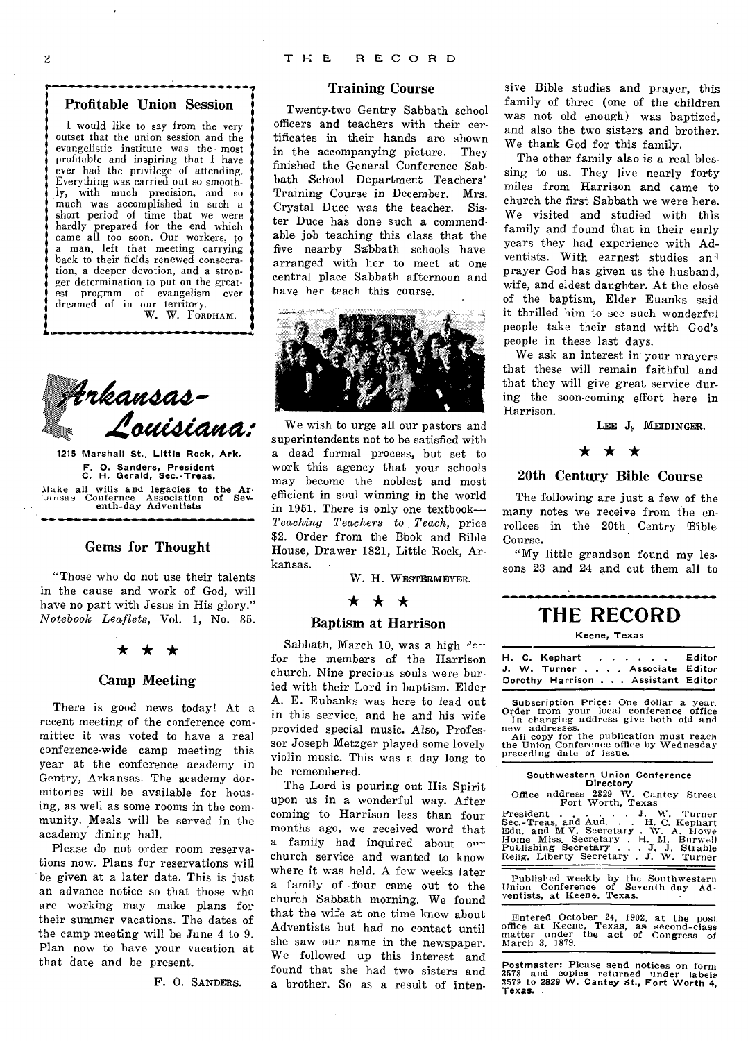### Profitable Union Session

I would like to say from the very outset that the union session and the evangelistic institute was the most profitable and inspiring that I have ever had the privilege of attending. Everything was carried out so smoothly, with much precision, and so much was accomplished in such a short period of time that we were hardly prepared for the end which came all too soon. Our workers, to a man, left that meeting carrying back to their fields renewed consecration, a deeper devotion, and a stronger determination to put on the greatest program of evangelism ever dreamed of in our territory. W. W. FORDHAM.



1215 Marshall St., Little Rock, Ark. F. 0. Sanders, President C. H. Gerald, Sec.-Treas. Make all wills and legacies to the Ar• (ausas Confernce Association of Seventh-day Adventists

### Gems for Thought

"Those who do not use their talents in the cause and work of God, will have no part with Jesus in His glory." *Notebook Leaflets,* Vol. 1, No. 35.

# .<br>★ ★ ★

### Camp Meeting

There is good news today! At a recent meeting of the conference committee it was voted to have a real conference-wide camp meeting this year at the conference academy in Gentry, Arkansas. The academy dormitories will be available for housing, as well as some rooms in the community. Meals will be served in the academy dining hall.

Please do not order room reservations now. Plans for reservations will be given at a later date. This is just an advance notice so that those who are working may make plans for their summer vacations. The dates of the camp meeting will be June 4 to 9. Plan now to have your vacation at that date and be present.

F. 0. SANDERS.

### Training Course

Twenty-two Gentry Sabbath school officers and teachers with their certificates in their hands are shown in the accompanying picture. They finished the General Conference Sabbath School Department Teachers' Training Course in December. Mrs. Crystal Duce was the teacher. Sister Duce has done such a commendable job teaching this class that the five nearby Sabbath schools have arranged with her to meet at one central place Sabbath afternoon and have her teach this course.



We wish to urge all our pastors and superintendents not to be satisfied with a dead formal process, but set to work this agency that your schools may become the noblest and most efficient in soul winning in the world in 1951. There is only one textbook— *Teaching Teachers to Teach,* price \$2. Order from the Book and Bible House, Drawer 1821, Little Rock, Arkansas.

W. H. WESTERMEYER.

### \* \* \*

### Baptism at Harrison

Sabbath, March 10, was a high day for the members of the Harrison church. Nine precious souls were buried with their Lord in baptism. Elder A. E. Eubanks was here to lead out in this service, and he and his wife provided special music. Also, Professor Joseph Metzger played some lovely violin music. This was a day long to be remembered.

The Lord is pouring out His Spirit upon us in a wonderful way. After coming to Harrison less than four months ago, we received word that a family had inquired about our church service and wanted to know where it was held. A few weeks later a family of four came out to the church Sabbath morning. We found that the wife at one time knew about Adventists but had no contact until she saw our name in the newspaper. We followed up this interest and found that she had two sisters and a brother. So as a result of intensive Bible studies and prayer, this family of three (one of the children was not old enough) was baptized, and also the two sisters and brother. We thank God for this family.

The other family also is a real blessing to us. They live nearly forty miles from Harrison and came to church the first Sabbath we were here. We visited and studied with this family and found that in their early years they had experience with Adventists. With earnest studies an<sup>1</sup> prayer God has given us the husband, wife, and eldest daughter. At the close of the baptism, Elder Euanks said it thrilled him to see such wonderful people take their stand with God's people in these last days.

We ask an interest in your nrayer that these will remain faithful and that they will give great service during the soon-coming effort here in Harrison.

LEE J. MEIDINGER.

# $\star$   $\star$   $\star$

### 20th Century Bible Course

The following are just a few of the many notes we receive from the enrollees in the 20th Centry Bible Course.

"My little grandson found my lessons 23 and 24 and cut them all to

### **THE RECORD**

### Keene, Texas

H. C. Kephart . . . . . . Editor J. W. Turner . . . . Associate Editor Dorothy Harrison . . . Assistant Editor

Subscription Price: One dollar a year. Order from your local conference office In changing address give both old and

new addresses. All copy for the publication must reach the Union Conference office by Wednesday preceding date of issue.

### Southwestern Union Conference Directory

Office address 2829 W. Cantey Street Fort Worth, Texas

President and Aud. . . H. C. Kephart Bec.-Treas. and Aud. . . H. C. Kephart Home Miss. Secretary . W. A. Howe Home Miss. Secretary . H. M. Burwell Relig. Liberty Secretary . J. W. Turner

Published weekly by the Southwestern<br>Union Conference of Seventh-day Adventists, at Keene, Texas.

Entered October 24, 1902, at the post office at Keene, Texas, as second-class matter under the act of Congress of March 3. 1879.

Postmaster: Please send notices on form 3578 and copies returned under labels 3579 to 2829 W. Cantey st., Fort Worth 4, Texas.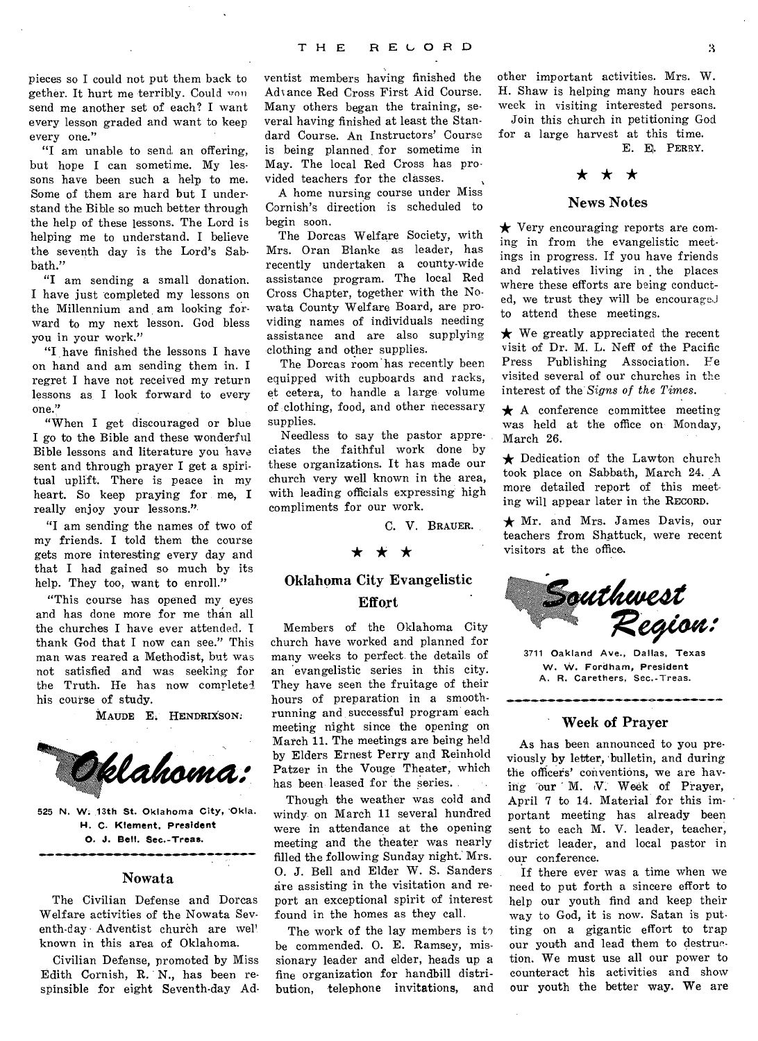pieces so I could not put them back to gether. It hurt me terribly. Could won send me another set of each? I want every lesson graded and want to keep every one."

"I am unable to send an offering, but hope I can sometime. My lessons have been such a help to me. Some of them are hard but I understand the Bible so much better through the help of these lessons. The Lord is helping me to understand. I believe the seventh day is the Lord's Sabbath."

"I am sending a small donation. I have just completed my lessons on the Millennium and am looking forward to my next lesson. God bless you in your work."

"I have finished the lessons I have on hand and am sending them in. I regret I have not received my return lessons as I look forward to every one."

"When I get discouraged or blue I go to the Bible and these wonderful Bible lessons and literature you have sent and through prayer I get a spiritual uplift. There is peace in my heart. So keep praying for me, I really enjoy your lessons."

"I am sending the names of two of my friends. I told them the course gets more interesting every day and that I had gained so much by its help. They too, want to enroll."

"This course has opened my eyes and has done more for me than all the churches I have ever attended. I thank God that I now can see." This man was reared a Methodist, but was not satisfied and was seeking for the Truth. He has now completed his course of study.

MAUDE E. HENDRIXSON.



525 N. W. 13th St. Oklahoma City, Okla. H. C. Klement, President 0. J. Bell. Sec.-Treas.

### Nowata

The Civilian Defense and Dorcas Welfare activities of the Nowata Seventh-day Adventist church are well known in this area of Oklahoma.

Civilian Defense, promoted by Miss Edith Cornish, R. N., has been respinsible for eight Seventh-day Ad-

ventist members having finished the Advance Red Cross First Aid Course. Many others began the training, several having finished at least the Standard Course. An Instructors' Course is being planned for sometime in May. The local Red Cross has provided teachers for the classes.

A home nursing course under Miss Cornish's direction is scheduled to begin soon.

The Dorcas Welfare Society, with Mrs. Oran Blanke as leader, has recently undertaken a county-wide assistance program. The local Red Cross Chapter, together with the Nowata County Welfare Board, are providing names of individuals needing assistance and are also supplying clothing and other supplies.

The Dorcas room has recently been equipped with cupboards and racks, et cetera, to handle a large volume of: clothing, food, and other necessary supplies.

Needless to say the pastor appreciates the faithful work done by these organizations. It has made our church very well known in the area, with leading officials expressing high compliments for our work.

C. V. BRAUER.

### \* \* \*

### Oklahoma City Evangelistic Effort

Members of the Oklahoma City church have worked and planned for many weeks to perfect the details of an 'evangelistic series in this city. They have seen the fruitage of their hours of preparation in a smoothrunning and successful program each meeting night since the opening on March 11. The meetings are being held by Elders Ernest Perry and Reinhold Patzer in the Vouge Theater, which has been leased for the series.

Though the weather was cold and windy on March 11 several hundred were in attendance at the opening meeting and the theater was nearly filled the following Sunday night. Mrs. 0. J. Bell and Elder W. S. Sanders are assisting in the visitation and report an exceptional spirit of interest found in the homes as they call.

The work of the lay members is  $t_2$ be commended. 0. E. Ramsey, missionary leader and elder, heads up a fine organization for handbill distribution, telephone invitations, and

other important activities. Mrs. W. H. Shaw is helping many hours each week in visiting interested persons.

Join this church in petitioning God for a large harvest at this time. E. E. PERRY.

## \* \* \*

### News Notes

 $\star$  Very encouraging reports are coming in from the evangelistic meetings in progress. If you have friends and relatives living in the places where these efforts are being conducted, we trust they will be encouraged to attend these meetings.

 $\star$  We greatly appreciated the recent visit of Dr. M. L. Neff of the Pacific Press Publishing Association. Fe visited several of our churches in the interest of the *Signs of the Times.* 

 $\star$  A conference committee meeting was held at the office on Monday, March 26.

 $\bigstar$  Dedication of the Lawton church took place on Sabbath, March 24. A more detailed report of this meeting will appear later in the RECORD.

 $\star$  Mr. and Mrs. James Davis, our teachers from Shattuck, were recent visitors at the office.



3711 Oakland Ave., Dallas, Texas W. W. Fordham, President A. R. Carethers, Sec.-Treas.

### Week of Prayer

As has been announced to you previously by letter, bulletin, and during the officers' conventions, we are having our M. V. Week of Prayer, April 7 to 14. Material for this important meeting has already been sent to each M. V. leader, teacher, district leader, and local pastor in our conference.

If there ever was a time when we need to put forth a sincere effort to help our youth find and keep their way to God, it is now. Satan is putting on a gigantic effort to trap our youth and lead them to destruction. We must use all our power to counteract his activities and show our youth the better way. We are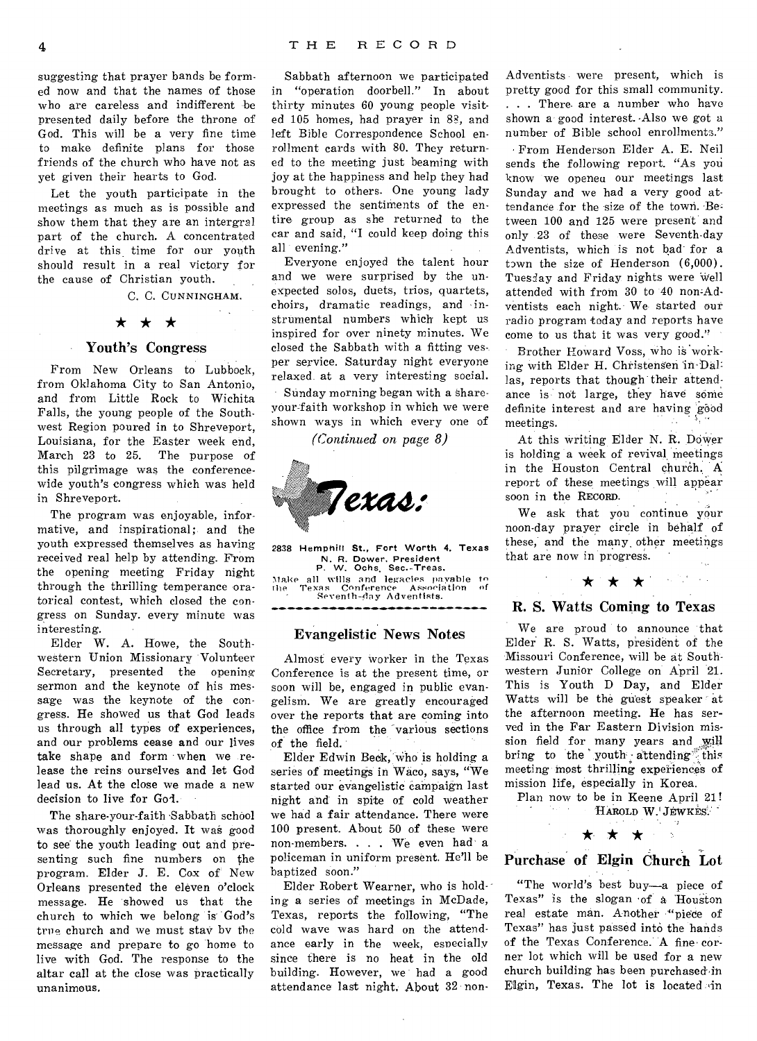suggesting that prayer bands be formed now and that the names of those who are careless and indifferent be presented daily before the throne of God. This will be a very fine time to make definite plans for those friends of the church who have not as yet given their hearts to God.

Let the youth participate in the meetings as much as is possible and show them that they are an intergral part of the church. A concentrated drive at this time for our youth should result in a real victory for the cause of Christian youth.

C. C. CUNNINGHAM.

 $\alpha$  .

# $\star$   $\star$   $\star$

### Youth's Congress

From New Orleans to Lubbock, from Oklahoma City to San Antonio, and from Little Rock to Wichita Falls, the young people of the Southwest Region poured in to Shreveport. Louisiana, for the Easter week end, March 23 to 25. The purpose of this pilgrimage was the conferencewide youth's congress which was held in Shreveport.

The program was enjoyable, informative, and inspirational; and the youth expressed themselves as having received real help by attending. From the opening meeting Friday night through the thrilling temperance oratorical contest, which closed the congress on Sunday. every minute was interesting.

Elder W. A. Howe, the Southwestern Union Missionary Volunteer Secretary, presented the opening sermon and the keynote of his message was the keynote of the congress. He showed us that God leads us through all types of experiences, and our problems cease and our lives take shape and form when we release the reins ourselves and let God lead us. At the close we made a new decision to live for God.

The share-your-faith Sabbath school was thoroughly enjoyed. It was good to see' the youth leading out and presenting such fine numbers on the program. Elder J. E. Cox of New Orleans presented the eleven o'clock message. He 'showed us that the church to which we belong is' God's true church and we must stay by the message and prepare to go home to live with God. The response to the altar call at the close was practically unanimous.

Sabbath afternoon we participated in "operation doorbell." In about thirty minutes 60 young people visited 105 homes, had prayer in 83, and left Bible Correspondence School enrollment cards with 80. They returned to the meeting just beaming with joy at the happiness and help they had brought to others. One young lady expressed the sentiments of the entire group as she returned to the car and said, "I could keep doing this all evening."

Everyone enjoyed the talent hour and we were surprised by the unexpected solos, duets, trios, quartets, choirs, dramatic readings, and instrumental numbers which' kept us inspired for over ninety minutes. We closed the Sabbath with a fitting vesper service. Saturday night everyone relaxed at a very interesting social. Sunday morning began with a shareyour-faith workshop in which we were shown ways in which every one of

*(Continued on page 8)* 



2838 Hemphill St., Fort Worth 4, Texas N. R. Dower. President P. W. Ochs, Sec.-Treas. Make all wills and legacies payable to the Texas Conference Association of Texas Conference Associa

### Evangelistic News Notes

Almost every worker in the Texas Conference is at the present time, or soon will be, engaged in public evangelism. We are greatly encouraged over the reports that are coming into the office from the various sections of the field.

Elder Edwin Beck, Who is holding a series of meetings in Waco, says, "We started our evangelistic campaign last night and in spite of cold weather we had a fair attendance. There were 100 present. About 50 of these were non-members. . . . We even had a policeman in uniform present. He'll be baptized soon."

Elder Robert Wearner, who is holding a series of meetings in McDade, Texas, reports the following, "The cold wave was hard on the attendance early in the week, especially since there is no heat in the old building. However, we had a good attendance last night. About 32 non-

Adventists were present, which is pretty good for this small community. . . . There. are a number who have shown a good interest. -Also we got a number of Bible school enrollments."

• From Henderson Elder A. E. Neil sends the following report. "As you know we openeu our meetings last Sunday and we had a very good attendance for the size of the town. Between 100 and 125 were present and only 23 of these were Seventh-day Adventists, which is not had for a town the size of Henderson (6,000). Tuesday and Friday nights were well attended with from 30 to 40 non-Adventists each night. We started our radio program today and reports have come to us that it was very good."

Brother Howard Voss, who is working with Elder H. Christensen 'in-Dal= las, reports that though their attendance is not large, they have some definite interest and are having good meetings.

At this writing Elder N. R. Dower is holding a week of revival meetings in the Houston Central church. A report of these meetings will appear soon in the RECORD.

We ask that you continue your noon-day prayer circle in behalf of these, and the many other meetings that are now in progress.

### R. S. Watts Coming to Texas

\* \* \* \* \* \*

We are proud to announce that Elder.R. S. Watts, president of the Missouri Conference, will be at Southwestern Junior College on April 21. This is Youth D Day, and Elder Watts will be the guest speaker at the afternoon meeting. He has served in the Far Eastern Division mission field for many years and will bring to the youth attending this meeting most thrilling experiences of mission life, especially in Korea.

Plan now to be in Keene April 21! HAROLD W.' JEWKES:

 $\mathcal{A}_1$ 

# $\star \star \star$ <br>Purchase of Elgin Church Lot

"The world's best buy—a piece of Texas" is the slogan 'of a Houston real estate man. Another "piece of Texas" has just passed into the hands of the Texas Conference. A fine. corner lot which will be used for a new church building has been purchased in Elgin, Texas. The lot is located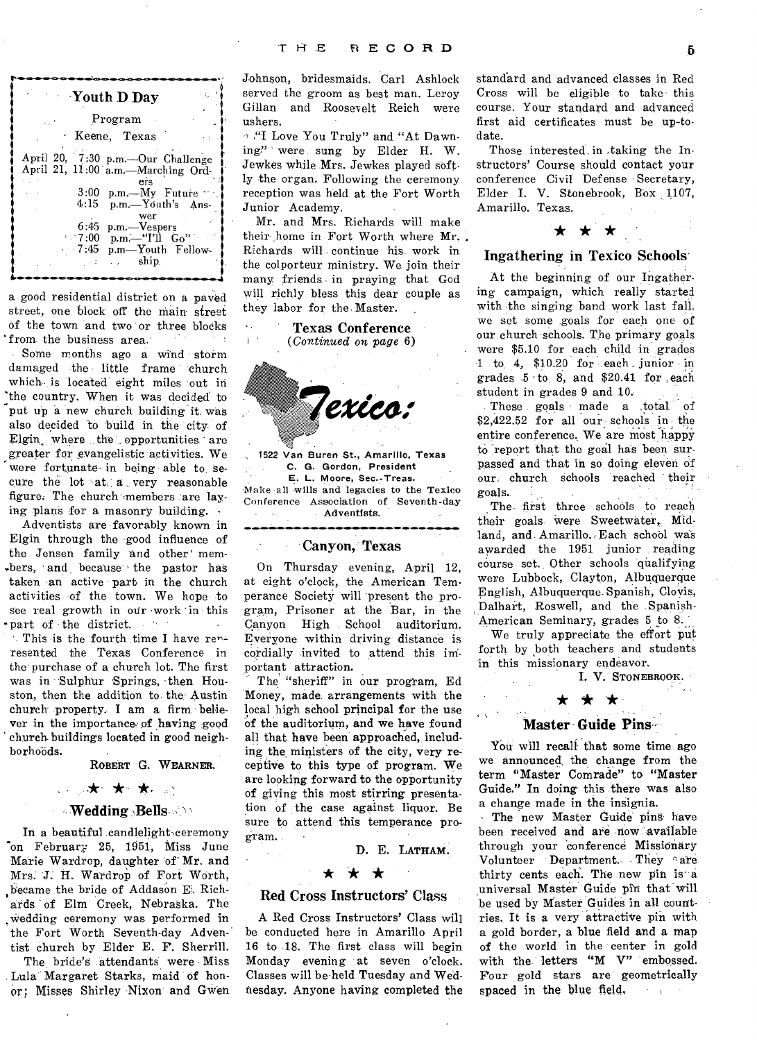| Youth D Day                                                                                                                                                                                                                            |
|----------------------------------------------------------------------------------------------------------------------------------------------------------------------------------------------------------------------------------------|
| Program                                                                                                                                                                                                                                |
| · Keene, Texas                                                                                                                                                                                                                         |
| April 20, 7:30 p.m.-Our Challenge<br>April 21, 11:00 a.m.-Marching Ord-<br>ers<br>$3:00$ p.m.—My Future<br>4:15 p.m.-Youth's Ans-<br>wer<br>6:45 p.m.-Vespers<br>$\sim 7:00$ p.m.—" $\text{T1}$ Go"<br>7:45 p.m—Youth Fellow-<br>ship. |

a good residential district on a paved street, one block off the main street of the town and two or three blocks from the business area.  $\mathcal{I}=\mathcal{I}$ 

Some months ago a wind storm damaged the little frame church which- is located eight miles out in 'the country. When it was decided to put up a new church building it. was also decided to build in the city- of Elgin, where the opportunities are greater for evangelistic activities. We were fortunate in being able to secure the lot at a very reasonable figure. The church members :are laying plans for a masonry building.

Adventists are •favorably known in Elgin through the good influence of the Jensen family and other' members, and because the pastor has taken -an active part in the church activities of the town. We hope to see real growth in our work in this 'part of the district. **Contract** 

This is the fourth time I have renresented the Texas Conference in the purchase of a church lot. The first was in Sulphur Springs, then Houston, then the addition to the- Austin church property. I am a firm believer in the importance:of having good church buildings located in good neighborhoöds.

ROBERT G. WEARNER.

### \* \*,

### **Wedding Bells**

In a beautiful candlelight ceremony 'on February 25, 1951, Miss June Marie Wardrop, daughter 'of' Mr. and Mrs. J. H. Wardrop of Fort Worth, became the bride of Addason E. Richards of Elm Creek, Nebraska. The .Wedding ceremony was performed in the Fort Worth Seventh-day Adventist church by Elder E. F. Sherrill.

The bride's attendants were Miss Lula Margaret Starks, maid of hon-Or; Misses Shirley Nixon and Gwen Johnson, bridesmaids. Carl Ashlock served the groom as best man. Leroy Gillan and Roosevelt Reich were ushers.

"I Love You Truly" and "At Dawning?' were sung by Elder H. W. Jewkes while Mrs. Jewkes played softly the organ. Following the ceremony reception was held at the Fort Worth Junior Academy.

Mr. and Mrs. Richards will make their home in Fort Worth where Mr. Richards will continue his work in the colporteur ministry. We join their many friends in praying that God will richly bless this dear couple as they labor for the Master.

**Texas Conference**<br>*Continued on page* 6) *(Continued on page* 6)



1522 Van Buren St., Amarillo, Texas C. G. Gordon, President E. L. Moore, Sec.-Treas. Make all wills and legacies to the Texico Conference Association of Seventh-day Adventists.

### Canyon, Texas

On Thursday evening, April 12, at eight o'clock, the American Temperance Society will present the program, Prisoner at the Bar, in the Canyon High School auditorium. Everyone within driving distance is cordially invited to attend this important attraction.

The "sheriff" in our program, Ed Money, made arrangements with the local high school principal for the use of the auditorium, and we have found all that have heen approached, including the, ministers of the city, very receptive to this type of program. We are looking forward to the opportunity of giving this most stirring presentation of the case against liquor. Be sure to attend this temperance program.

D. E. LATHAM.

## \* \* \*

### Red Cross Instructors' Class

A Red Cross Instructors' Class will be conducted here in Amarillo April 16 to 18. The first class will begin Monday evening at seven o'clock. Classes will be held Tuesday and Wednesday. Anyone having completed the

standard and advanced classes in Red Cross will be eligible to take this course. Your standard and advanced first aid certificates must be up-todate.

Those interested in taking the Instructors' Course should contact your conference Civil Defense Secretary, Elder I. V. Stonebrook, Box 1107, Amarillo. Texas. \* \* \* \* \*

### Ingathering in Texico Schools'

At the beginning of our Ingathering campaign, which really started with the singing band work last fall. we set some goals for each one of our church schools. The primary goals were \$5.10 for each child in grades 1 to 4, \$10.20 for .each junior in grades .5 -to 8, and \$20.41 for each student in grades 9 and 10.

These goals made a ,total of \$2,422.52 for all our schools in the entire conference. We are most happy to report that the goal has been surpassed and that in so doing eleven of our. church schools reached their goals.<br>The first three schools to reach

their goals. were Sweetwater, Midland, and Amarillo. Each school was awarded the 1951 junior reading course set. Other schools qualifying were Lubbock, Clayton, Albuquerque English, Albuquerque Spanish, Cloyis, Dalhart, Roswell, and the Spanish-American Seminary, grades 5 to 8.

We truly appreciate the effort put forth by both teachers and students in this missionary endeavor.

**I. V.** STONEBROOK.

## $\star \star \star$

### Master Guide Pins

You will recall that some time ago we announced, the change from the term "Master Comrade" to "Master Guide." In doing this there was also a change made in the insignia.

The new Master Guide pins have been received and are now available through your 'conference Missionary Volunteer Department. They are thirty cents each. The new pin is a universal Master Guide pin that will be used by Master Guides in all countries. It is a very attractive pin with a gold border, a blue field and a map of the world in the center in gold with the letters "M V" embossed. Four gold stars are geometrically spaced in the blue field,  $\sim$   $\sim$   $\sim$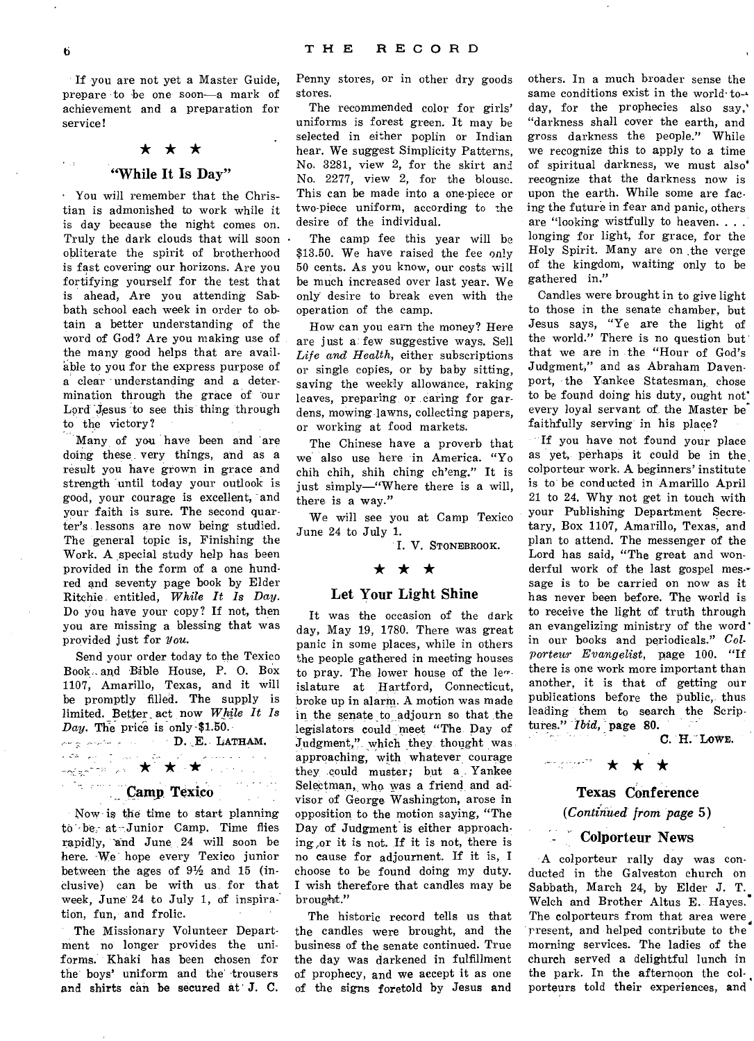If you are not yet a Master Guide, prepare to be one soon—a mark of achievement and a preparation for service!



### "While It Is Day"

You will remember that the Christian is admonished to work while it is day because the night comes on. Truly the dark clouds that will soon obliterate the spirit of brotherhood is fast covering our horizons. Are you fortifying yourself for the test that is ahead, Are you attending Sabbath school each week in order to obtain a better understanding of the word of God? Are you making use of the many good helps that are available to you for the express purpose of a clear understanding and a determination through the grace of our Lord Jesus to see this thing through to the victory?

Many, of you have been and are doing these very things, and as a result you have grown in grace and strength until today your outlook is good, your courage is excellent, and your faith is sure. The second quarter's lessons are now being studied. The general topic is, Finishing the Work. A special study help has been provided in the form of a one hundred and seventy page book by Elder Ritchie. entitled, *While It Is Day.*  Do you have your copy? If not, then you are missing a blessing that was provided just for You.

Send your order today to the Texico Book- and Bible House, P. 0. Box 1107, Amarillo, Texas, and it will be promptly filled. The supply is limited. Better\_ act now *While It Is Day.* The price is only-\$1.50.

**D. ,E.** LATHAM. \* \* \*

### **Camp Texico**

Now is the time to start planning to be at Junior Camp. Time flies rapidly, and June 24 will soon be here. We hope every Texico junior between the ages of  $9\frac{1}{2}$  and 15 (inclusive) can be with us for that week, June 24 to July 1, of inspiration, fun, and frolic.

The Missionary Volunteer Department no longer provides the uniforms. Khaki has been chosen for the boys' uniform and the trousers and shirts can be secured at' **J. C.**  Penny stores, or in other dry goods stores.

The recommended color for girls' uniforms is forest green. It may be selected in either poplin or Indian hear. We suggest Simplicity Patterns, No. 3281, view 2, for the skirt and No. 2277, view 2, for the blouse. This can be made into a one-piece or two-piece uniform, according to the desire of the individual.

The camp fee this year will be \$13.50. We have raised the fee only 50 cents. As you know, our costs will be much increased over last year. We only desire to break even with the operation of the camp.

How can you earn the money? Here are just a: few suggestive ways. Sell *Life and• Health,* either subscriptions or single copies, or by baby sitting, saving the weekly allowance, raking leaves, preparing or caring for gardens, mowing lawns, collecting papers, or working at food markets.

The Chinese have a proverb that we also use here in America. "Yo chih chih, shih ching ch'eng." It is just simply—"Where there is a will, there is a way."

We will see you at Camp Texico June 24 to July 1.

I. V. STONEBROOK.

### \* \* \*

### Let Your Light Shine

It was the occasion of the dark day, May 19, 1780. There was great panic in some places, while in others the people gathered in meeting houses to pray. The lower house of the len. islature at Hartford, Connecticut, broke up in alarm. A motion was made in the senate to adjourn so that the legislators could meet "The Day of Judgment," which they thought was approaching, with whatever courage they could muster; but a Yankee Selectman, wha was a friend and advisor of George Washington, arose in opposition to the motion saying, "The Day of Judgment is either approaching ,or it is not. If it is not, there is no cause for adjournent. If it is, **I**  choose to be found doing my duty. **I** wish therefore that candles may be brought."

The historic record tells us that the candles were brought, and the business of the senate continued. True the day was darkened in fulfillment of prophecy, and we accept it as one of the signs foretold by Jesus and

others. In a much broader sense the same conditions exist in the world·today, for the prophecies also say,' "darkness shall cover the earth, and gross darkness the people." While we recognize this to apply to a time of spiritual darkness, we must also' recognize that the darkness now is upon the earth. While some are facing the future in fear and panic, others are "looking wistfully to heaven. . . . longing for light, for grace, for the Holy Spirit. Many are on the verge of the kingdom, waiting only to be gathered in."

Candles were brought in to give light to those in the senate chamber, but Jesus says, "Ye are the light of the world." There is no question but that we are in the "Hour of God's Judgment," and as Abraham Davenport, the Yankee Statesman, chose to be found doing his duty, ought not' every loyal servant of the Master be' faithfully serving' in his place?

If you have not found your place as yet, perhaps it could be in the colporteur work. A beginners' institute is to be conducted in Amarillo April 21 to 24. Why not get in touch with your Publishing Department Secretary, Box 1107, Amarillo, Texas, and plan to attend. The messenger of the Lord has said, "The great and wonderful work of the last gospel message is to be carried on now as it has never been before. The world is to receive the light of truth through an evangelizing ministry of the word in our books and periodicals." *Colporteur Evangelist,* page 100. "If there is one work more important than another, it is that of getting our publications before the public, thus leading them to search the Scrip• tures." *Ibid,* page **80.** 

**C. H. "LOWE.** 

### Texas Conference *(Contiaited from page* 5)

\* \* \*

75 مولايات برايانيس<br>آرامور

### Colporteur News

A colporteur rally day was conducted in the Galveston church on Sabbath, March 24, by Elder J. T. Welch and Brother Altus E. Hayes. The colporteurs from that area were present, and helped contribute to the morning services. The ladies of the church served a delightful lunch in the park. In the afternoon the colporteurs told their experiences, and

 $\epsilon_{\rm eff}$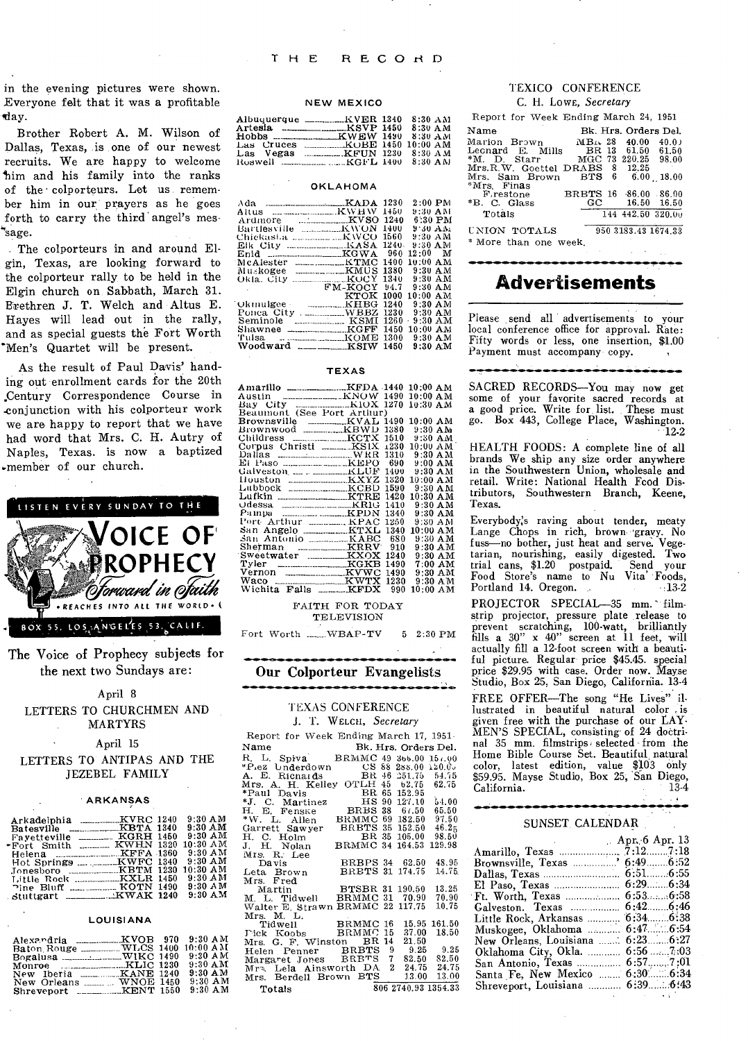in the evening pictures were shown. Everyone felt that it was a profitable day.

Brother Robert A. M. Wilson of Dallas, Texas, is one of our newest recruits. We are happy to welcome tim and his family into the ranks of the colporteurs. Let us remember him in our prayers as he goes forth to carry the third angel's mes-''sage.

The colporteurs in and around Elgin, Texas, are looking forward to the colporteur rally to be held in the Elgin church on. Sabbath, March 31. Brethren J. T. Welch and Altus E. Hayes will lead out in the rally, and as special guests the Fort Worth \*Men's Quartet will be present.

As the result of Paul Davis' handing out enrollment cards for the 20th ,Century Correspondence Course in .conjunction with his colporteur work we are happy to report that we have had word that Mrs. C. H. Autry of Naples, Texas. is now a baptized .member of our church.



The Voice of Prophecy subjects for the next two Sundays are:

### April 8 LETTERS TO CHURCHMEN AND MARTYRS

### April 15

LETTERS TO ANTIPAS AND THE JEZEBEL FAMILY

### ARKANSAS

|                                 | $9:30$ AM  |
|---------------------------------|------------|
| Batesville _________KBTA 1340   | $9:30$ AM  |
| Favetteville ________ KGRH 1450 | $9:30$ AM  |
| *Fort Smith  KWHN 1320          | $10:30$ AM |
|                                 | $9:30$ AM  |
|                                 | $9:30$ AM  |
|                                 | $10:30$ AM |
|                                 | $9:30$ AM  |
| Pine Bluff  KOTN 1490           | $9:30$ AM  |
| stuttgart ___________KWAK 1240  | $9:30$ AM  |

### LOUISIANA

| Alexandria _________KVOB 970    |  | $9:30$ AM  |
|---------------------------------|--|------------|
| Baton Rouge _________WLCS 1400  |  | $10:00$ AM |
| Bogalusa _____________WIKC 1490 |  | $9:30$ AM  |
|                                 |  | $9:30$ AM  |
| New Iberia _________KANE 1240   |  | $9:30$ AM  |
| New Orleans  WNOE 1450          |  | $9:30$ AM  |
| Shreveport __________KENT 1550  |  | $9:30$ AM  |

### NEW MEXICO

| Albuquerque __________KVER 1340 |  | $8:30$ AM                      |
|---------------------------------|--|--------------------------------|
| $Artesia$ $\ldots$ $KSVP$ 1450  |  | $8:30$ A M                     |
|                                 |  |                                |
| Las Cruces                      |  | <b>EXAMPLE 1450 10:00 AM</b>   |
| Las Vegas                       |  | <b>EXAMPLE IN 1230 8:30 AM</b> |
|                                 |  |                                |

### **OKLAHOMA**

|                               |                     | 1450  | $2:00$ PM<br>9:30 AM |
|-------------------------------|---------------------|-------|----------------------|
|                               |                     | 1240  | 6:30 PM              |
| Bartlesville _________KWON    |                     | 1400  | 9:30 AM              |
| Chickasta ___________KWCO     |                     | 1560  | 9:30 AM              |
| Elk City                      | $$ $KASA$           | 1240. | 9:30 AM              |
|                               |                     |       | $12:00$ M            |
| McAlester                     | <b>EXAMPLE 1400</b> |       | 10:00 AM             |
| Muskogee                      |                     |       | $9:30$ A M           |
| Okla. City $\ldots$ $KOCY$    |                     | 1340  | $9:30$ AM            |
|                               | FM-KOCY             | 94.7  | $9:30$ AM            |
|                               | кток                | 1000  | $10:00~\mathrm{AM}$  |
| ∵Okmulgee -                   | KHBG                | 1240  | $9:30$ AM            |
|                               |                     | 1230  | $9.30$ AM            |
| Seminole                      | <b>EXAMPLE 1997</b> | 1260  | 9:30 AM<br>ä         |
| Shawnee _________________KGFF |                     | 1450  | $10:00$ AM           |
| Tulsa.                        |                     | 1300  | $9:30$ A M           |
| Woodward ____________KSIW     |                     | 1450  | $9:30$ AM            |

### TEXAS

| Amarillo _______________KFDA 1440 10:00 AM |                     |
|--------------------------------------------|---------------------|
|                                            | $10:00$ AM          |
|                                            |                     |
| Beaumont (See Port Arthur)                 |                     |
|                                            |                     |
| Brownwood _________KBWD 1380               | $9:30$ AM           |
| Childress ______________KCTX 1510          | 9:30 AM             |
| Corpus Christi ______ KS1X 1230            | $10:00$ AM          |
|                                            | $9:30$ A M          |
|                                            | $9:00~\text{AM}$    |
|                                            | $9:30$ AM           |
|                                            | $10:00$ A M         |
|                                            | $9:30$ AM           |
|                                            | $10:30$ AM<br>1420  |
|                                            | $9:30$ AM           |
|                                            | $9:30$ AM           |
|                                            | $9:30$ AM           |
| San Angelo ___________KTXL 1340            | $10:00$ AM          |
| San Antonio _________KABC 680              | $9:30$ AM           |
|                                            | $9:30~\mathrm{AM}$  |
| Sweetwater KXOX 1240                       | $9:30$ AM           |
| Tyler _____________________KGKB 1490       | $7:00~\,mathrm{AM}$ |
|                                            | $9:30$ AM           |
| Waco __________________KWTX 1230           | $9:30$ AM           |
| Wichita Falls ______ KFDX 990              | $10:00~\mathrm{AM}$ |

### FAITH FOR TODAY TELEVISION

Fort Worth ... WBAP-TV 5 2:30 PM

Our Colporteur Evangelists

### TEXAS CONFERENCE J. '1'. WELCH, *Secretary*

•

| Report for Week Ending March 17, 1951.                                                |
|---------------------------------------------------------------------------------------|
|                                                                                       |
| Bk. Hrs. Orders Del.<br>Name<br>IN THE BRANC 49 366.00<br>R. L. Spiva BRMMC 49 366.00 |
| 15(0.00)                                                                              |
| *P.ez Underdown      CS 88 288.00 120.0.                                              |
| <b>BR</b><br>A. E. Ricnards<br>46 251.75 54.75                                        |
| Mrs. A. H. Kelley OTLH 45 62.75 62.75                                                 |
| BR 65 152.95<br>*Paul Davis                                                           |
| HS 90 127.10<br>54.00<br>*J. C. Martinez                                              |
| H. E. Fenske<br>BRBS 38 67.50<br>65.50                                                |
| BRMMC 69 182.50 97.50<br>*W. L. Allen                                                 |
| BRBTS 35 152.50 46.25<br>Garrett Sawyer                                               |
| BR 35 105.00<br>98.50<br>H. C. Holm                                                   |
| J. H. Nolan BRMMC 34 164.53<br>129.98                                                 |
| Mrs. R. Lee                                                                           |
| <b>BRBPS 34 62.50</b><br>48.95<br>Da vis                                              |
| <b>BRBTS 31 174.75</b><br>14.75<br>Leta Brown                                         |
| Mrs. Fred                                                                             |
| Mrs. Fred<br>Martin                 BTSBR 31 190.50<br>13.25                          |
| M. L. Tidwell BRMMC 31 70.90<br>70.90                                                 |
| 10.75<br>Walter E. Strawn BRMMC 22<br>117.75                                          |
|                                                                                       |
| Mrs. M. L.<br>Tidwell BRMMC 16<br>15.95 161.50                                        |
| Tick Koobs BRMMC 15<br>18.50<br>37.00                                                 |
| 21.50<br>Mrs. G. F. Winston BR 14                                                     |
| $9.25$ $9.25$<br>Helen Penner BRBTS<br>9                                              |
| Margaret Jones BRBTS<br>7<br>82.50 82.50                                              |
| Mra. Lela Ainsworth DA 2<br>24.75 24.75                                               |
| 13.00<br>13.00<br>Mrs. Berdell Brown BTS                                              |
| 806 2740.93 1354.33                                                                   |
| Totals                                                                                |

### TEXICO CONFERENCE C. H. Lowe, *Secretary*

| Report for Week Ending March 24, 1951 |                             |                      |       |
|---------------------------------------|-----------------------------|----------------------|-------|
| Name                                  |                             | Bk. Hrs. Orders Del. |       |
| Marion Brown                          | $MB1$ 28                    | 40.00                | 40.01 |
| Lecnard E. Mills                      |                             | BR 13 61.50          | 61.50 |
| $*M.$ D. Starr                        |                             | MGC 73 220.25 98.00  |       |
| Mrs.R.W. Goettel DRABS 8 12.25        |                             |                      |       |
| Mrs. Sam Brown                        | BTS 6                       | $6.00$ 18.00         |       |
| <i>*Mrs.</i> Finas                    |                             |                      |       |
| $\mathbf{F}_{\text{}}$ restone        | <b>BRBTS 16 86.00 86.00</b> |                      |       |
| *B. C. Glass                          | GC                          | $16.50\quad 16.50$   |       |
| Totals                                |                             | 144 442.50 320.00    |       |
| UNION TOTALS                          |                             | 950 3183.43 1674.33  |       |
| 4 harawa alan nana masukata           |                             |                      |       |

More than one week.

### **Advertisements**

Please send all advertisements to your local conference office for approval. Rate: Fifty words or less, one insertion, \$1.00 Payment must accompany copy.

.111.016...••••••••••••••••••••

SACRED RECORDS-You may now get some of your favorite sacred records at a good price. Write for list. These must go. Box 443, College Place, Washington.  $-12.2$ 

HEALTH FOODS: A complete line of all brands We ship any size order anywhere in the Southwestern Union, wholesale and retail. Write: National Health Fcod Distributors, Southwestern Branch, Keene, Texas.

Everybody:s raving about tender, meaty Lange Chops in rich, brown 'grayy. No fuss-no bother, just heat and serve. Vege-tarian, nourishing, easily digested. Two trial cans, \$1.20 postpaid. Send your Food Store's name to Nu Vita' Foods, Portland 14. Oregon. .. 13-2

PROJECTOR SPECIAL-35 mm. filmstrip projector, pressure plate release to prevent scratching, 100-watt, brilliantly<br>fills a 30" x 40" screen at 11 feet, will actually fill a 12-foot screen with a beautiful picture. Regular price \$45.45. special price \$29.95 with case. Order now. Mayse Studio, Box 25, San Diego, California. 13-4

FREE OFFER-The song "He Lives" illustrated in beautiful natural color is given free with the purchase of our LAY-MEN'S SPECIAL, consisting of 24 doctrinal 35 mm. filmstrips selected from the Home Bible Course Set. Beautiful natural color, latest edition, value \$103 only \$59.95. Mayse Studio, Box 25, San Diego, California. 13-4

### SUNSET. CALENDAR

|                                   | Apr. 6 Apr. 13 |
|-----------------------------------|----------------|
|                                   |                |
| Brownsville, Texas  6:49 6:52     |                |
|                                   |                |
|                                   |                |
|                                   |                |
| Galveston. Texas                  | 6:426:46       |
| Little Rock, Arkansas             |                |
| Muskogee, Oklahoma                | 6:476:54       |
| New Orleans, Louisiana  6:23 6:27 |                |
| Oklahoma City, Okla.              | 6:567:03       |
| San Antonio, Texas                | 6:577:01       |
| Santa Fe, New Mexico              | 6:306:34       |
| Shreveport, Louisiana  6:39 6:43  |                |
|                                   |                |